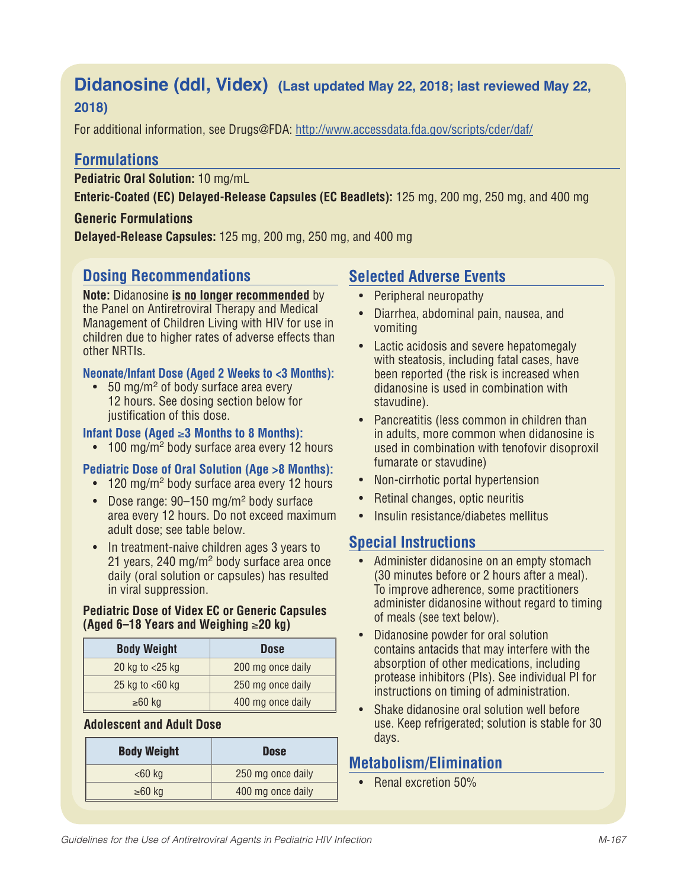# **Didanosine (ddl, Videx) (Last updated May 22, 2018; last reviewed May 22, 2018)**

For additional information, see Drugs@FDA: http://www.accessdata.fda.gov/scripts/cder/daf/

# **Formulations**

**Pediatric Oral Solution:** 10 mg/mL

**Enteric-Coated (EC) Delayed-Release Capsules (EC Beadlets):** 125 mg, 200 mg, 250 mg, and 400 mg

### **Generic Formulations**

**Delayed-Release Capsules:** 125 mg, 200 mg, 250 mg, and 400 mg

# **Dosing Recommendations**

**Note:** Didanosine **is no longer recommended** by the Panel on Antiretroviral Therapy and Medical Management of Children Living with HIV for use in children due to higher rates of adverse effects than other NRTIs.

#### **Neonate/Infant Dose (Aged 2 Weeks to <3 Months):**

• 50 mg/m<sup>2</sup> of body surface area every 12 hours. See dosing section below for justification of this dose.

### **Infant Dose (Aged** ≥**3 Months to 8 Months):**

• 100 mg/m<sup>2</sup> body surface area every 12 hours

#### **Pediatric Dose of Oral Solution (Age >8 Months):**

- 120 mg/m<sup>2</sup> body surface area every 12 hours
- Dose range: 90–150 mg/m<sup>2</sup> body surface area every 12 hours. Do not exceed maximum adult dose; see table below.
- In treatment-naive children ages 3 years to 21 years, 240 mg/m<sup>2</sup> body surface area once daily (oral solution or capsules) has resulted in viral suppression.

#### **Pediatric Dose of Videx EC or Generic Capsules (Aged 6–18 Years and Weighing** ≥**20 kg)**

| <b>Body Weight</b> | <b>Dose</b>       |
|--------------------|-------------------|
| 20 kg to $<$ 25 kg | 200 mg once daily |
| 25 kg to $<$ 60 kg | 250 mg once daily |
| $≥60$ kg           | 400 mg once daily |

#### **Adolescent and Adult Dose**

| <b>Dose</b>       |
|-------------------|
| 250 mg once daily |
| 400 mg once daily |
|                   |

# **Selected Adverse Events**

- Peripheral neuropathy
- Diarrhea, abdominal pain, nausea, and vomiting
- Lactic acidosis and severe hepatomegaly with steatosis, including fatal cases, have been reported (the risk is increased when didanosine is used in combination with stavudine).
- Pancreatitis (less common in children than in adults, more common when didanosine is used in combination with tenofovir disoproxil fumarate or stavudine)
- Non-cirrhotic portal hypertension
- Retinal changes, optic neuritis
- Insulin resistance/diabetes mellitus

# **Special Instructions**

- Administer didanosine on an empty stomach (30 minutes before or 2 hours after a meal). To improve adherence, some practitioners administer didanosine without regard to timing of meals (see text below).
- Didanosine powder for oral solution contains antacids that may interfere with the absorption of other medications, including protease inhibitors (PIs). See individual PI for instructions on timing of administration.
- Shake didanosine oral solution well before use. Keep refrigerated; solution is stable for 30 days.

# **Metabolism/Elimination**

• Renal excretion 50%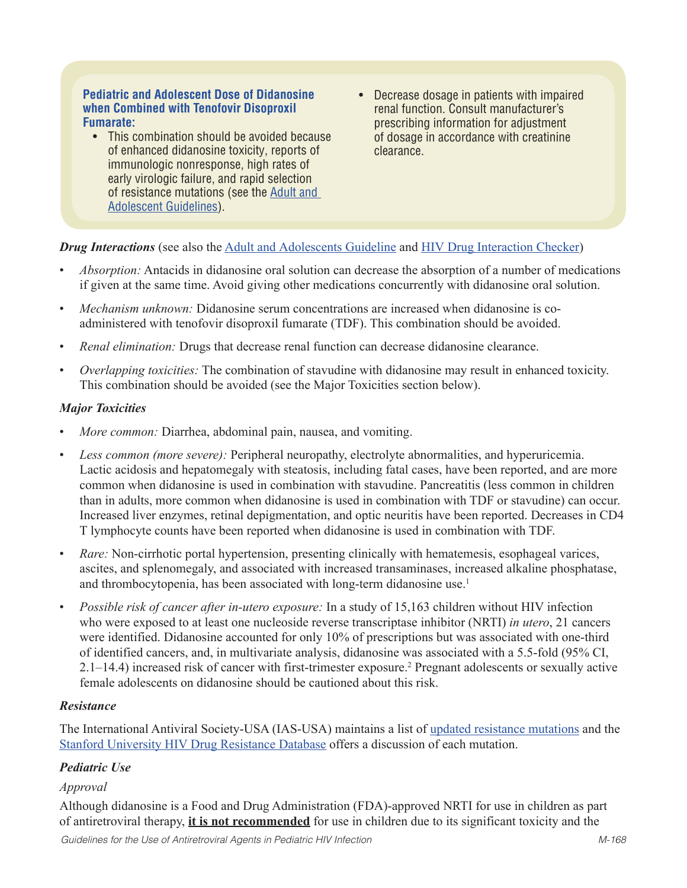#### **Pediatric and Adolescent Dose of Didanosine when Combined with Tenofovir Disoproxil Fumarate:**

- This combination should be avoided because of enhanced didanosine toxicity, reports of immunologic nonresponse, high rates of early virologic failure, and rapid selection of resistance mutations (see the Adult and Adolescent Guidelines).
- Decrease dosage in patients with impaired renal function. Consult manufacturer's prescribing information for adjustment of dosage in accordance with creatinine clearance.

*Drug Interactions* (see also the Adult and Adolescents Guideline and HIV Drug Interaction Checker)

- *Absorption:* Antacids in didanosine oral solution can decrease the absorption of a number of medications if given at the same time. Avoid giving other medications concurrently with didanosine oral solution.
- *Mechanism unknown:* Didanosine serum concentrations are increased when didanosine is coadministered with tenofovir disoproxil fumarate (TDF). This combination should be avoided.
- *Renal elimination:* Drugs that decrease renal function can decrease didanosine clearance.
- *Overlapping toxicities:* The combination of stavudine with didanosine may result in enhanced toxicity. This combination should be avoided (see the Major Toxicities section below).

### *Major Toxicities*

- *More common:* Diarrhea, abdominal pain, nausea, and vomiting.
- *Less common (more severe):* Peripheral neuropathy, electrolyte abnormalities, and hyperuricemia. Lactic acidosis and hepatomegaly with steatosis, including fatal cases, have been reported, and are more common when didanosine is used in combination with stavudine. Pancreatitis (less common in children than in adults, more common when didanosine is used in combination with TDF or stavudine) can occur. Increased liver enzymes, retinal depigmentation, and optic neuritis have been reported. Decreases in CD4 T lymphocyte counts have been reported when didanosine is used in combination with TDF.
- *Rare:* Non-cirrhotic portal hypertension, presenting clinically with hematemesis, esophageal varices, ascites, and splenomegaly, and associated with increased transaminases, increased alkaline phosphatase, and thrombocytopenia, has been associated with long-term didanosine use.<sup>1</sup>
- *Possible risk of cancer after in-utero exposure:* In a study of 15,163 children without HIV infection who were exposed to at least one nucleoside reverse transcriptase inhibitor (NRTI) *in utero*, 21 cancers were identified. Didanosine accounted for only 10% of prescriptions but was associated with one-third of identified cancers, and, in multivariate analysis, didanosine was associated with a 5.5-fold (95% CI, 2.1–14.4) increased risk of cancer with first-trimester exposure.2 Pregnant adolescents or sexually active female adolescents on didanosine should be cautioned about this risk.

#### *Resistance*

The International Antiviral Society-USA (IAS-USA) maintains a list of updated resistance mutations and the Stanford University HIV Drug Resistance Database offers a discussion of each mutation.

# *Pediatric Use*

# *Approval*

Although didanosine is a Food and Drug Administration (FDA)-approved NRTI for use in children as part of antiretroviral therapy, **it is not recommended** for use in children due to its significant toxicity and the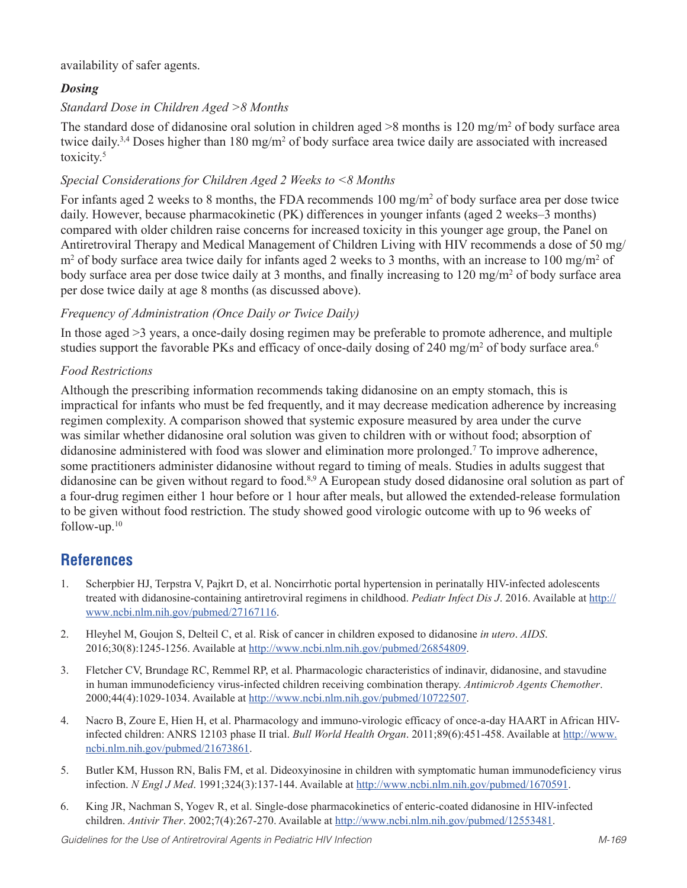availability of safer agents.

# *Dosing*

# *Standard Dose in Children Aged >8 Months*

The standard dose of didanosine oral solution in children aged  $>8$  months is 120 mg/m<sup>2</sup> of body surface area twice daily.<sup>3,4</sup> Doses higher than 180 mg/m<sup>2</sup> of body surface area twice daily are associated with increased toxicity.<sup>5</sup>

## *Special Considerations for Children Aged 2 Weeks to <8 Months*

For infants aged 2 weeks to 8 months, the FDA recommends 100 mg/m<sup>2</sup> of body surface area per dose twice daily. However, because pharmacokinetic (PK) differences in younger infants (aged 2 weeks–3 months) compared with older children raise concerns for increased toxicity in this younger age group, the Panel on Antiretroviral Therapy and Medical Management of Children Living with HIV recommends a dose of 50 mg/ m<sup>2</sup> of body surface area twice daily for infants aged 2 weeks to 3 months, with an increase to 100 mg/m<sup>2</sup> of body surface area per dose twice daily at 3 months, and finally increasing to 120 mg/m<sup>2</sup> of body surface area per dose twice daily at age 8 months (as discussed above).

### *Frequency of Administration (Once Daily or Twice Daily)*

In those aged >3 years, a once-daily dosing regimen may be preferable to promote adherence, and multiple studies support the favorable PKs and efficacy of once-daily dosing of 240 mg/m<sup>2</sup> of body surface area.<sup>6</sup>

### *Food Restrictions*

Although the prescribing information recommends taking didanosine on an empty stomach, this is impractical for infants who must be fed frequently, and it may decrease medication adherence by increasing regimen complexity. A comparison showed that systemic exposure measured by area under the curve was similar whether didanosine oral solution was given to children with or without food; absorption of didanosine administered with food was slower and elimination more prolonged.<sup>7</sup> To improve adherence, some practitioners administer didanosine without regard to timing of meals. Studies in adults suggest that didanosine can be given without regard to food.8,9 A European study dosed didanosine oral solution as part of a four-drug regimen either 1 hour before or 1 hour after meals, but allowed the extended-release formulation to be given without food restriction. The study showed good virologic outcome with up to 96 weeks of follow-up.10

# **References**

- 1. Scherpbier HJ, Terpstra V, Pajkrt D, et al. Noncirrhotic portal hypertension in perinatally HIV-infected adolescents treated with didanosine-containing antiretroviral regimens in childhood. *Pediatr Infect Dis J*. 2016. Available at http:// www.ncbi.nlm.nih.gov/pubmed/27167116.
- 2. Hleyhel M, Goujon S, Delteil C, et al. Risk of cancer in children exposed to didanosine *in utero*. *AIDS*. 2016;30(8):1245-1256. Available at http://www.ncbi.nlm.nih.gov/pubmed/26854809.
- 3. Fletcher CV, Brundage RC, Remmel RP, et al. Pharmacologic characteristics of indinavir, didanosine, and stavudine in human immunodeficiency virus-infected children receiving combination therapy. *Antimicrob Agents Chemother*. 2000;44(4):1029-1034. Available at http://www.ncbi.nlm.nih.gov/pubmed/10722507.
- 4. Nacro B, Zoure E, Hien H, et al. Pharmacology and immuno-virologic efficacy of once-a-day HAART in African HIVinfected children: ANRS 12103 phase II trial. *Bull World Health Organ*. 2011;89(6):451-458. Available at http://www. ncbi.nlm.nih.gov/pubmed/21673861.
- 5. Butler KM, Husson RN, Balis FM, et al. Dideoxyinosine in children with symptomatic human immunodeficiency virus infection. *N Engl J Med*. 1991;324(3):137-144. Available at http://www.ncbi.nlm.nih.gov/pubmed/1670591.
- 6. King JR, Nachman S, Yogev R, et al. Single-dose pharmacokinetics of enteric-coated didanosine in HIV-infected children. *Antivir Ther*. 2002;7(4):267-270. Available at http://www.ncbi.nlm.nih.gov/pubmed/12553481.